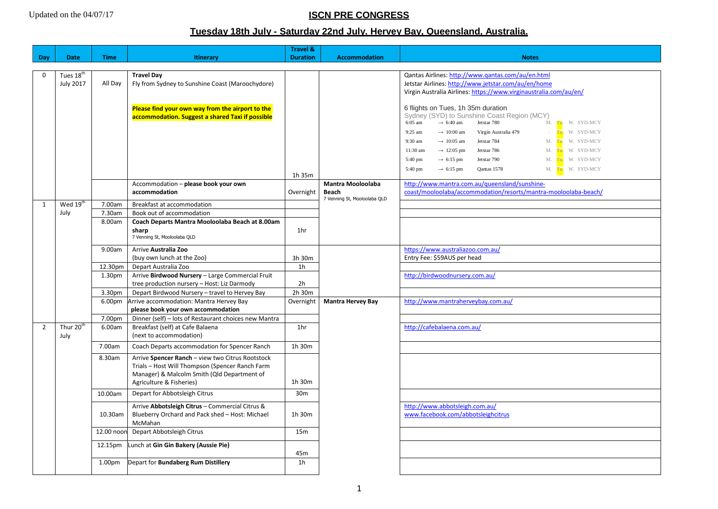# **ISCN PRE CONGRESS**

## **Tuesday 18th July - Saturday 22nd July. Hervey Bay, Queensland, Australia.**

|                |                       |                    |                                                       | <b>Travel &amp;</b> |                              |                                                                                   |
|----------------|-----------------------|--------------------|-------------------------------------------------------|---------------------|------------------------------|-----------------------------------------------------------------------------------|
| Day            | <b>Date</b>           | <b>Time</b>        | <b>Itinerary</b>                                      | <b>Duration</b>     | <b>Accommodation</b>         | <b>Notes</b>                                                                      |
|                |                       |                    |                                                       |                     |                              |                                                                                   |
| $\Omega$       | Tues $18tr$           |                    | <b>Travel Day</b>                                     |                     |                              | Qantas Airlines: http://www.qantas.com/au/en.html                                 |
|                | <b>July 2017</b>      | All Day            | Fly from Sydney to Sunshine Coast (Maroochydore)      |                     |                              | Jetstar Airlines: http://www.jetstar.com/au/en/home                               |
|                |                       |                    |                                                       |                     |                              | Virgin Australia Airlines: https://www.virginaustralia.com/au/en/                 |
|                |                       |                    |                                                       |                     |                              |                                                                                   |
|                |                       |                    | Please find your own way from the airport to the      |                     |                              | 6 flights on Tues, 1h 35m duration<br>Sydney (SYD) to Sunshine Coast Region (MCY) |
|                |                       |                    | accommodation. Suggest a shared Taxi if possible      |                     |                              | 6:05 am<br>$\rightarrow$ 6:40 am<br>Jetstar 780<br>M. Tu. W. SYD-MCY              |
|                |                       |                    |                                                       |                     |                              | 9:25 am<br>$\rightarrow 10:00$ am<br>Virgin Australia 479<br>- Tu. W. SYD-MCY     |
|                |                       |                    |                                                       |                     |                              | 9:30 am<br>$\rightarrow 10:05$ am<br>Jetstar 784<br>M. Tu. W. SYD-MCY             |
|                |                       |                    |                                                       |                     |                              | $11:30$ am<br>$\rightarrow$ 12:05 pm<br>Jetstar 786<br>M. Tu, W. SYD-MCY          |
|                |                       |                    |                                                       |                     |                              | Jetstar 790<br>5:40 pm<br>$\rightarrow$ 6:15 pm<br>M. Tu, W. SYD-MCY              |
|                |                       |                    |                                                       |                     |                              | 5:40 pm<br>$\rightarrow$ 6:15 pm<br>M. Tu. W. SYD-MCY<br>Qantas 1578              |
|                |                       |                    |                                                       | 1h 35m              |                              |                                                                                   |
|                |                       |                    | Accommodation - please book your own                  |                     | <b>Mantra Mooloolaba</b>     | http://www.mantra.com.au/queensland/sunshine-                                     |
|                |                       |                    | accommodation                                         | Overnight           | Beach                        | coast/mooloolaba/accommodation/resorts/mantra-mooloolaba-beach/                   |
| $\mathbf{1}$   | Wed 19 <sup>th</sup>  | 7.00am             | Breakfast at accommodation                            |                     | 7 Venning St, Mooloolaba QLD |                                                                                   |
|                | July                  | 7.30am             | Book out of accommodation                             |                     |                              |                                                                                   |
|                |                       | 8.00am             | Coach Departs Mantra Mooloolaba Beach at 8.00am       |                     |                              |                                                                                   |
|                |                       |                    | sharp                                                 | 1hr                 |                              |                                                                                   |
|                |                       |                    | 7 Venning St, Mooloolaba QLD                          |                     |                              |                                                                                   |
|                |                       | 9.00am             | Arrive Australia Zoo                                  |                     |                              | https://www.australiazoo.com.au/                                                  |
|                |                       |                    | (buy own lunch at the Zoo)                            | 3h 30m              |                              | Entry Fee: \$59AUS per head                                                       |
|                |                       | 12.30pm            | Depart Australia Zoo                                  | 1 <sub>h</sub>      |                              |                                                                                   |
|                |                       | 1.30 <sub>pm</sub> | Arrive Birdwood Nursery - Large Commercial Fruit      |                     |                              | http://birdwoodnursery.com.au/                                                    |
|                |                       |                    | tree production nursery - Host: Liz Darmody           | 2h                  |                              |                                                                                   |
|                |                       | 3.30pm             | Depart Birdwood Nursery - travel to Hervey Bay        | 2h 30m              |                              |                                                                                   |
|                |                       | 6.00 <sub>pm</sub> | Arrive accommodation: Mantra Hervey Bay               | Overnight           | <b>Mantra Hervey Bay</b>     | http://www.mantraherveybay.com.au/                                                |
|                |                       |                    | please book your own accommodation                    |                     |                              |                                                                                   |
|                |                       | 7.00pm             | Dinner (self) - lots of Restaurant choices new Mantra |                     |                              |                                                                                   |
| $\overline{2}$ | Thur 20 <sup>th</sup> | 6.00am             | Breakfast (self) at Cafe Balaena                      | 1 <sub>hr</sub>     |                              | http://cafebalaena.com.au/                                                        |
|                | July                  |                    | (next to accommodation)                               |                     |                              |                                                                                   |
|                |                       | 7.00am             | Coach Departs accommodation for Spencer Ranch         | 1h 30m              |                              |                                                                                   |
|                |                       | 8.30am             | Arrive Spencer Ranch - view two Citrus Rootstock      |                     |                              |                                                                                   |
|                |                       |                    | Trials - Host Will Thompson (Spencer Ranch Farm       |                     |                              |                                                                                   |
|                |                       |                    | Manager) & Malcolm Smith (Qld Department of           |                     |                              |                                                                                   |
|                |                       |                    | Agriculture & Fisheries)                              | 1h 30m              |                              |                                                                                   |
|                |                       | 10.00am            | Depart for Abbotsleigh Citrus                         | 30m                 |                              |                                                                                   |
|                |                       |                    | Arrive Abbotsleigh Citrus - Commercial Citrus &       |                     |                              | http://www.abbotsleigh.com.au/                                                    |
|                |                       | 10.30am            | Blueberry Orchard and Pack shed - Host: Michael       | 1h 30m              |                              | www.facebook.com/abbotsleighcitrus                                                |
|                |                       |                    | McMahan                                               |                     |                              |                                                                                   |
|                |                       | 12.00 noon         | Depart Abbotsleigh Citrus                             | 15 <sub>m</sub>     |                              |                                                                                   |
|                |                       | 12.15pm            | Lunch at Gin Gin Bakery (Aussie Pie)                  |                     |                              |                                                                                   |
|                |                       |                    |                                                       | 45m                 |                              |                                                                                   |
|                |                       | 1.00 <sub>pm</sub> | Depart for Bundaberg Rum Distillery                   | 1 <sub>h</sub>      |                              |                                                                                   |
|                |                       |                    |                                                       |                     |                              |                                                                                   |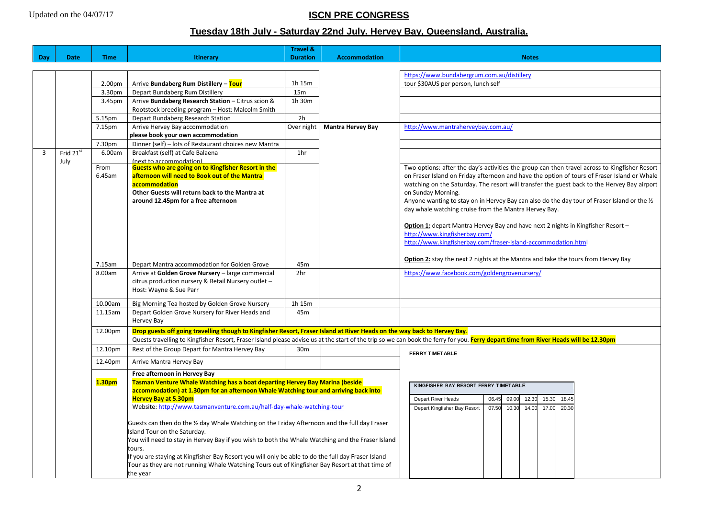# **ISCN PRE CONGRESS**

## **Tuesday 18th July - Saturday 22nd July. Hervey Bay, Queensland, Australia.**

| Day            | <b>Date</b>               | <b>Time</b>        | Itinerary                                                                                                                                                            | <b>Travel &amp;</b><br><b>Duration</b> | <b>Accommodation</b>     | <b>Notes</b>                                                                                                                                                                         |  |  |
|----------------|---------------------------|--------------------|----------------------------------------------------------------------------------------------------------------------------------------------------------------------|----------------------------------------|--------------------------|--------------------------------------------------------------------------------------------------------------------------------------------------------------------------------------|--|--|
|                |                           |                    |                                                                                                                                                                      |                                        |                          |                                                                                                                                                                                      |  |  |
|                |                           |                    |                                                                                                                                                                      |                                        |                          | https://www.bundabergrum.com.au/distillery                                                                                                                                           |  |  |
|                |                           | 2.00 <sub>pm</sub> | Arrive Bundaberg Rum Distillery - Tour                                                                                                                               | 1h 15m                                 |                          | tour \$30AUS per person, lunch self                                                                                                                                                  |  |  |
|                |                           | 3.30pm             | Depart Bundaberg Rum Distillery                                                                                                                                      | 15m                                    |                          |                                                                                                                                                                                      |  |  |
|                |                           | 3.45pm             | Arrive Bundaberg Research Station - Citrus scion &                                                                                                                   | 1h 30m                                 |                          |                                                                                                                                                                                      |  |  |
|                |                           |                    | Rootstock breeding program - Host: Malcolm Smith                                                                                                                     |                                        |                          |                                                                                                                                                                                      |  |  |
|                |                           | 5.15pm             | Depart Bundaberg Research Station                                                                                                                                    | 2h                                     |                          |                                                                                                                                                                                      |  |  |
|                |                           | 7.15pm             | Arrive Hervey Bay accommodation                                                                                                                                      | Over night                             | <b>Mantra Hervey Bay</b> | http://www.mantraherveybay.com.au/                                                                                                                                                   |  |  |
|                |                           |                    | please book your own accommodation                                                                                                                                   |                                        |                          |                                                                                                                                                                                      |  |  |
|                |                           | 7.30pm             | Dinner (self) - lots of Restaurant choices new Mantra                                                                                                                |                                        |                          |                                                                                                                                                                                      |  |  |
| $\overline{3}$ | Frid $21^{\overline{st}}$ | 6.00am             | Breakfast (self) at Cafe Balaena                                                                                                                                     | 1 <sub>hr</sub>                        |                          |                                                                                                                                                                                      |  |  |
|                | July                      |                    | (next to accommodation)                                                                                                                                              |                                        |                          |                                                                                                                                                                                      |  |  |
|                |                           | From               | Guests who are going on to Kingfisher Resort in the                                                                                                                  |                                        |                          | Two options: after the day's activities the group can then travel across to Kingfisher Resort                                                                                        |  |  |
|                |                           | 6.45am             | afternoon will need to Book out of the Mantra                                                                                                                        |                                        |                          | on Fraser Island on Friday afternoon and have the option of tours of Fraser Island or Whale                                                                                          |  |  |
|                |                           |                    | accommodation                                                                                                                                                        |                                        |                          | watching on the Saturday. The resort will transfer the guest back to the Hervey Bay airport                                                                                          |  |  |
|                |                           |                    | Other Guests will return back to the Mantra at                                                                                                                       |                                        |                          | on Sunday Morning.                                                                                                                                                                   |  |  |
|                |                           |                    | around 12.45pm for a free afternoon                                                                                                                                  |                                        |                          | Anyone wanting to stay on in Hervey Bay can also do the day tour of Fraser Island or the 1/2                                                                                         |  |  |
|                |                           |                    |                                                                                                                                                                      |                                        |                          | day whale watching cruise from the Mantra Hervey Bay.                                                                                                                                |  |  |
|                |                           |                    |                                                                                                                                                                      |                                        |                          |                                                                                                                                                                                      |  |  |
|                |                           |                    |                                                                                                                                                                      |                                        |                          | Option 1: depart Mantra Hervey Bay and have next 2 nights in Kingfisher Resort -<br>http://www.kingfisherbay.com/                                                                    |  |  |
|                |                           |                    |                                                                                                                                                                      |                                        |                          | http://www.kingfisherbay.com/fraser-island-accommodation.html                                                                                                                        |  |  |
|                |                           |                    |                                                                                                                                                                      |                                        |                          |                                                                                                                                                                                      |  |  |
|                |                           |                    |                                                                                                                                                                      |                                        |                          | Option 2: stay the next 2 nights at the Mantra and take the tours from Hervey Bay                                                                                                    |  |  |
|                |                           | 7.15am             | Depart Mantra accommodation for Golden Grove                                                                                                                         | 45m                                    |                          |                                                                                                                                                                                      |  |  |
|                |                           | 8.00am             | Arrive at Golden Grove Nursery - large commercial                                                                                                                    | 2hr                                    |                          | https://www.facebook.com/goldengrovenursery/                                                                                                                                         |  |  |
|                |                           |                    | citrus production nursery & Retail Nursery outlet -                                                                                                                  |                                        |                          |                                                                                                                                                                                      |  |  |
|                |                           |                    | Host: Wayne & Sue Parr                                                                                                                                               |                                        |                          |                                                                                                                                                                                      |  |  |
|                |                           | 10.00am            | Big Morning Tea hosted by Golden Grove Nursery                                                                                                                       | 1h 15m                                 |                          |                                                                                                                                                                                      |  |  |
|                |                           | 11.15am            | Depart Golden Grove Nursery for River Heads and                                                                                                                      | 45 <sub>m</sub>                        |                          |                                                                                                                                                                                      |  |  |
|                |                           |                    | Hervey Bay                                                                                                                                                           |                                        |                          |                                                                                                                                                                                      |  |  |
|                |                           | 12.00pm            | Drop guests off going travelling though to Kingfisher Resort, Fraser Island at River Heads on the way back to Hervey Bay.                                            |                                        |                          |                                                                                                                                                                                      |  |  |
|                |                           |                    |                                                                                                                                                                      |                                        |                          | Quests travelling to Kingfisher Resort, Fraser Island please advise us at the start of the trip so we can book the ferry for you. Ferry depart time from River Heads will be 12.30pm |  |  |
|                |                           | 12.10pm            | Rest of the Group Depart for Mantra Hervey Bay                                                                                                                       | 30 <sub>m</sub>                        |                          | <b>FERRY TIMETABLE</b>                                                                                                                                                               |  |  |
|                |                           | 12.40pm            | Arrive Mantra Hervey Bay                                                                                                                                             |                                        |                          |                                                                                                                                                                                      |  |  |
|                |                           | 1.30pm             | Free afternoon in Hervey Bay                                                                                                                                         |                                        |                          |                                                                                                                                                                                      |  |  |
|                |                           |                    | Tasman Venture Whale Watching has a boat departing Hervey Bay Marina (beside<br>accommodation) at 1.30pm for an afternoon Whale Watching tour and arriving back into |                                        |                          | KINGFISHER BAY RESORT FERRY TIMETABLE                                                                                                                                                |  |  |
|                |                           |                    |                                                                                                                                                                      |                                        |                          |                                                                                                                                                                                      |  |  |
|                |                           |                    | <b>Hervey Bay at 5.30pm</b>                                                                                                                                          |                                        |                          | Depart River Heads<br>06.45<br>09.00<br>12.30<br>15.30<br>18.45                                                                                                                      |  |  |
|                |                           |                    | Website: http://www.tasmanventure.com.au/half-day-whale-watching-tour                                                                                                |                                        |                          | 10.30<br>14.00<br>Depart Kingfisher Bay Resort<br>07.50<br>17.00<br>20.30                                                                                                            |  |  |
|                |                           |                    |                                                                                                                                                                      |                                        |                          |                                                                                                                                                                                      |  |  |
|                |                           |                    | Guests can then do the 1/2 day Whale Watching on the Friday Afternoon and the full day Fraser                                                                        |                                        |                          |                                                                                                                                                                                      |  |  |
|                |                           |                    | Island Tour on the Saturday.                                                                                                                                         |                                        |                          |                                                                                                                                                                                      |  |  |
|                |                           |                    | You will need to stay in Hervey Bay if you wish to both the Whale Watching and the Fraser Island                                                                     |                                        |                          |                                                                                                                                                                                      |  |  |
|                |                           |                    | tours.                                                                                                                                                               |                                        |                          |                                                                                                                                                                                      |  |  |
|                |                           |                    | f you are staying at Kingfisher Bay Resort you will only be able to do the full day Fraser Island                                                                    |                                        |                          |                                                                                                                                                                                      |  |  |
|                |                           |                    | Tour as they are not running Whale Watching Tours out of Kingfisher Bay Resort at that time of                                                                       |                                        |                          |                                                                                                                                                                                      |  |  |
|                |                           |                    | the year                                                                                                                                                             |                                        |                          |                                                                                                                                                                                      |  |  |